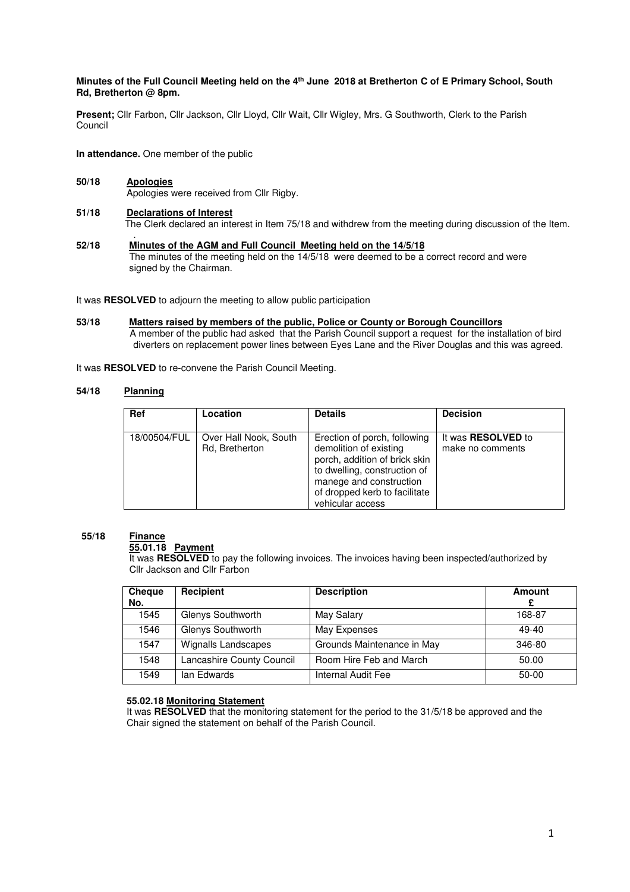## **Minutes of the Full Council Meeting held on the 4th June 2018 at Bretherton C of E Primary School, South Rd, Bretherton @ 8pm.**

**Present;** Cllr Farbon, Cllr Jackson, Cllr Lloyd, Cllr Wait, Cllr Wigley, Mrs. G Southworth, Clerk to the Parish Council

**In attendance.** One member of the public

- **50/18 Apologies** Apologies were received from Cllr Rigby.
- **51/18 Declarations of Interest** The Clerk declared an interest in Item 75/18 and withdrew from the meeting during discussion of the Item.
- . **52/18 Minutes of the AGM and Full Council Meeting held on the 14/5/18**  The minutes of the meeting held on the 14/5/18 were deemed to be a correct record and were signed by the Chairman.

It was **RESOLVED** to adjourn the meeting to allow public participation

**53/18 Matters raised by members of the public, Police or County or Borough Councillors**  A member of the public had asked that the Parish Council support a request for the installation of bird diverters on replacement power lines between Eyes Lane and the River Douglas and this was agreed.

It was **RESOLVED** to re-convene the Parish Council Meeting.

## $54/18$ **Planning**

| Ref          | Location              | <b>Details</b>                | <b>Decision</b>           |
|--------------|-----------------------|-------------------------------|---------------------------|
|              |                       |                               |                           |
| 18/00504/FUL | Over Hall Nook, South | Erection of porch, following  | It was <b>RESOLVED</b> to |
|              | Rd, Bretherton        | demolition of existing        | make no comments          |
|              |                       | porch, addition of brick skin |                           |
|              |                       | to dwelling, construction of  |                           |
|              |                       | manege and construction       |                           |
|              |                       | of dropped kerb to facilitate |                           |
|              |                       | vehicular access              |                           |

## **55/18 Finance**

 **55.01.18 Payment** 

 It was **RESOLVED** to pay the following invoices. The invoices having been inspected/authorized by Cllr Jackson and Cllr Farbon

| Cheque | Recipient                  | <b>Description</b>         | Amount  |
|--------|----------------------------|----------------------------|---------|
| No.    |                            |                            |         |
| 1545   | Glenys Southworth          | May Salary                 | 168-87  |
| 1546   | Glenys Southworth          | May Expenses               | $49-40$ |
| 1547   | <b>Wignalls Landscapes</b> | Grounds Maintenance in May | 346-80  |
| 1548   | Lancashire County Council  | Room Hire Feb and March    | 50.00   |
| 1549   | lan Edwards                | Internal Audit Fee         | 50-00   |

## **55.02.18 Monitoring Statement**

 It was **RESOLVED** that the monitoring statement for the period to the 31/5/18 be approved and the Chair signed the statement on behalf of the Parish Council.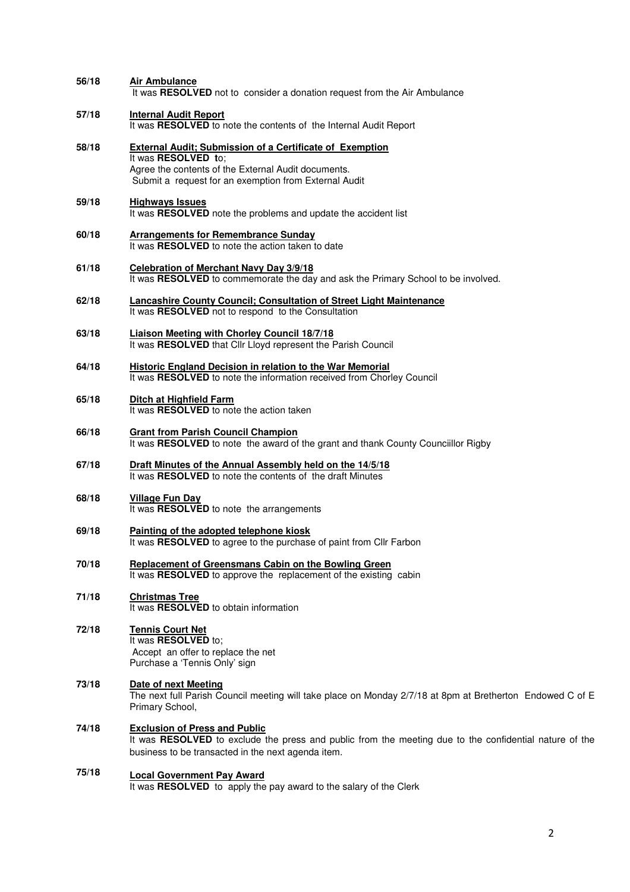| 56/18 | <b>Air Ambulance</b><br>It was RESOLVED not to consider a donation request from the Air Ambulance                                                                                                      |
|-------|--------------------------------------------------------------------------------------------------------------------------------------------------------------------------------------------------------|
| 57/18 | <b>Internal Audit Report</b><br>It was RESOLVED to note the contents of the Internal Audit Report                                                                                                      |
| 58/18 | <b>External Audit; Submission of a Certificate of Exemption</b><br>It was RESOLVED to:<br>Agree the contents of the External Audit documents.<br>Submit a request for an exemption from External Audit |
| 59/18 | <b>Highways Issues</b><br>It was RESOLVED note the problems and update the accident list                                                                                                               |
| 60/18 | <b>Arrangements for Remembrance Sunday</b><br>It was RESOLVED to note the action taken to date                                                                                                         |
| 61/18 | <b>Celebration of Merchant Navy Day 3/9/18</b><br>It was RESOLVED to commemorate the day and ask the Primary School to be involved.                                                                    |
| 62/18 | <b>Lancashire County Council; Consultation of Street Light Maintenance</b><br>It was RESOLVED not to respond to the Consultation                                                                       |
| 63/18 | <b>Liaison Meeting with Chorley Council 18/7/18</b><br>It was RESOLVED that Cllr Lloyd represent the Parish Council                                                                                    |
| 64/18 | <b>Historic England Decision in relation to the War Memorial</b><br>It was RESOLVED to note the information received from Chorley Council                                                              |
| 65/18 | <b>Ditch at Highfield Farm</b><br>It was RESOLVED to note the action taken                                                                                                                             |
| 66/18 | <b>Grant from Parish Council Champion</b><br>It was RESOLVED to note the award of the grant and thank County Councillor Rigby                                                                          |
| 67/18 | Draft Minutes of the Annual Assembly held on the 14/5/18<br>It was RESOLVED to note the contents of the draft Minutes                                                                                  |
| 68/18 | <b>Village Fun Day</b><br>It was RESOLVED to note the arrangements                                                                                                                                     |
| 69/18 | Painting of the adopted telephone kiosk<br>It was RESOLVED to agree to the purchase of paint from Cllr Farbon                                                                                          |
| 70/18 | <b>Replacement of Greensmans Cabin on the Bowling Green</b><br>It was RESOLVED to approve the replacement of the existing cabin                                                                        |
| 71/18 | <b>Christmas Tree</b><br>It was RESOLVED to obtain information                                                                                                                                         |
| 72/18 | <b>Tennis Court Net</b><br>It was RESOLVED to;<br>Accept an offer to replace the net<br>Purchase a 'Tennis Only' sign                                                                                  |
| 73/18 | Date of next Meeting<br>The next full Parish Council meeting will take place on Monday 2/7/18 at 8pm at Bretherton Endowed C of E<br>Primary School,                                                   |
| 74/18 | <b>Exclusion of Press and Public</b><br>It was RESOLVED to exclude the press and public from the meeting due to the confidential nature of the<br>business to be transacted in the next agenda item.   |
| 75/18 | <b>Local Government Pay Award</b><br>It was RESOLVED to apply the pay award to the salary of the Clerk                                                                                                 |